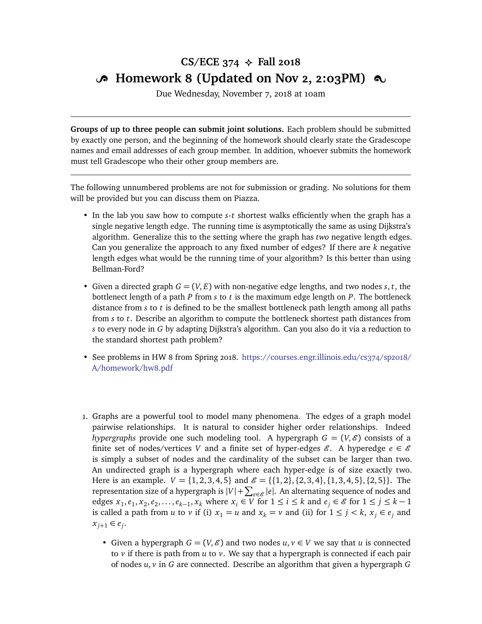## CS/ECE  $374 \div$  Fall 2018 **B** Homework 8 (Updated on Nov 2, 2:03PM)  $\infty$

Due Wednesday, November 7, 2018 at 10am

**Groups of up to three people can submit joint solutions.** Each problem should be submitted by exactly one person, and the beginning of the homework should clearly state the Gradescope names and email addresses of each group member. In addition, whoever submits the homework must tell Gradescope who their other group members are.

The following unnumbered problems are not for submission or grading. No solutions for them will be provided but you can discuss them on Piazza.

- In the lab you saw how to compute *s*-*t* shortest walks efficiently when the graph has a single negative length edge. The running time is asymptotically the same as using Dijkstra's algorithm. Generalize this to the setting where the graph has *two* negative length edges. Can you generalize the approach to any fixed number of edges? If there are *k* negative length edges what would be the running time of your algorithm? Is this better than using Bellman-Ford?
- Given a directed graph  $G = (V, E)$  with non-negative edge lengths, and two nodes  $s, t$ , the bottlenect length of a path *P* from *s* to *t* is the maximum edge length on *P*. The bottleneck distance from *s* to *t* is defined to be the smallest bottleneck path length among all paths from *s* to *t*. Describe an algorithm to compute the bottleneck shortest path distances from *s* to every node in *G* by adapting Dijkstra's algorithm. Can you also do it via a reduction to the standard shortest path problem?
- See problems in HW 8 from Spring 2018. [https://courses.engr.illinois.edu/cs374/sp2018/](https://courses.engr.illinois.edu/cs374/sp2018/A/homework/hw8.pdf) [A/homework/hw8.pdf](https://courses.engr.illinois.edu/cs374/sp2018/A/homework/hw8.pdf)
- 1. Graphs are a powerful tool to model many phenomena. The edges of a graph model pairwise relationships. It is natural to consider higher order relationships. Indeed *hypergraphs* provide one such modeling tool. A hypergraph  $G = (V, \mathcal{E})$  consists of a finite set of nodes/vertices *V* and a finite set of hyper-edges  $\mathcal{E}$ . A hyperedge  $e \in \mathcal{E}$ is simply a subset of nodes and the cardinality of the subset can be larger than two. An undirected graph is a hypergraph where each hyper-edge is of size exactly two. Here is an example.  $V = \{1, 2, 3, 4, 5\}$  and  $\mathcal{E} = \{\{1, 2\}, \{2, 3, 4\}, \{1, 3, 4, 5\}, \{2, 5\}\}\.$  The representation size of a hypergraph is  $|V| + \sum_{e \in \mathscr{E}} |e|$ . An alternating sequence of nodes and edges  $x_1, e_1, x_2, e_2, \ldots, e_{k-1}, x_k$  where  $x_i \in V$  for  $1 \le i \le k$  and  $e_j \in \mathcal{E}$  for  $1 \le j \le k-1$ is called a path from *u* to *v* if (i)  $x_1 = u$  and  $x_k = v$  and (ii) for  $1 \le j \le k$ ,  $x_j \in e_j$  and  $x_{j+1} \in e_j$ .
	- Given a hypergraph  $G = (V, \mathcal{E})$  and two nodes  $u, v \in V$  we say that *u* is connected to *v* if there is path from *u* to *v*. We say that a hypergraph is connected if each pair of nodes *u*, *v* in *G* are connected. Describe an algorithm that given a hypergraph *G*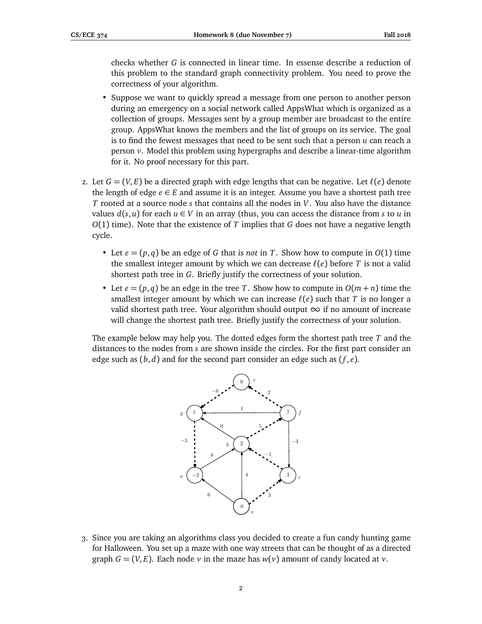checks whether *G* is connected in linear time. In essense describe a reduction of this problem to the standard graph connectivity problem. You need to prove the correctness of your algorithm.

- Suppose we want to quickly spread a message from one person to another person during an emergency on a social network called AppsWhat which is organized as a collection of groups. Messages sent by a group member are broadcast to the entire group. AppsWhat knows the members and the list of groups on its service. The goal is to find the fewest messages that need to be sent such that a person *u* can reach a person *v*. Model this problem using hypergraphs and describe a linear-time algorithm for it. No proof necessary for this part.
- 2. Let  $G = (V, E)$  be a directed graph with edge lengths that can be negative. Let  $\ell(e)$  denote the length of edge  $e \in E$  and assume it is an integer. Assume you have a shortest path tree *T* rooted at a source node *s* that contains all the nodes in *V*. You also have the distance values  $d(s, u)$  for each  $u \in V$  in an array (thus, you can access the distance from *s* to *u* in *O*(1) time). Note that the existence of *T* implies that *G* does not have a negative length cycle.
	- Let  $e = (p,q)$  be an edge of G that is *not* in T. Show how to compute in  $O(1)$  time the smallest integer amount by which we can decrease  $\ell(e)$  before *T* is not a valid shortest path tree in *G*. Briefly justify the correctness of your solution.
	- Let  $e = (p,q)$  be an edge in the tree *T*. Show how to compute in  $O(m+n)$  time the smallest integer amount by which we can increase  $\ell(e)$  such that *T* is no longer a valid shortest path tree. Your algorithm should output  $\infty$  if no amount of increase will change the shortest path tree. Briefly justify the correctness of your solution.

The example below may help you. The dotted edges form the shortest path tree *T* and the distances to the nodes from *s* are shown inside the circles. For the first part consider an edge such as (*b*, *d*) and for the second part consider an edge such as (*f* , *e*).



3. Since you are taking an algorithms class you decided to create a fun candy hunting game for Halloween. You set up a maze with one way streets that can be thought of as a directed graph  $G = (V, E)$ . Each node *v* in the maze has  $w(v)$  amount of candy located at *v*.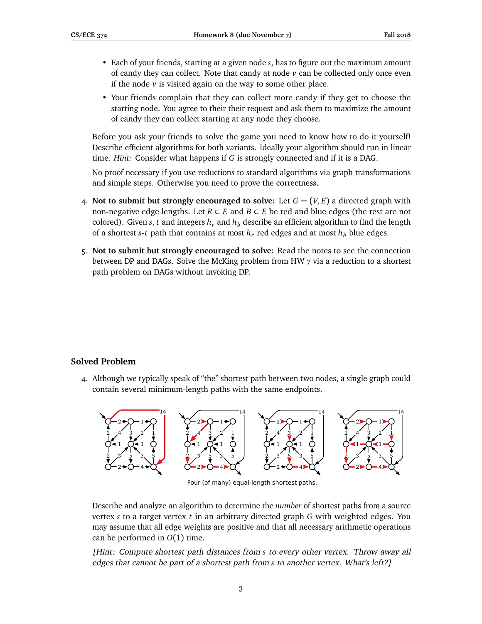- Each of your friends, starting at a given node *s*, has to figure out the maximum amount of candy they can collect. Note that candy at node *v* can be collected only once even if the node *v* is visited again on the way to some other place.
- Your friends complain that they can collect more candy if they get to choose the starting node. You agree to their their request and ask them to maximize the amount of candy they can collect starting at any node they choose.

Before you ask your friends to solve the game you need to know how to do it yourself! Describe efficient algorithms for both variants. Ideally your algorithm should run in linear time. *Hint:* Consider what happens if *G* is strongly connected and if it is a DAG.

No proof necessary if you use reductions to standard algorithms via graph transformations and simple steps. Otherwise you need to prove the correctness.

- 4. **Not to submit but strongly encouraged to solve:** Let  $G = (V, E)$  a directed graph with non-negative edge lengths. Let  $R \subset E$  and  $B \subset E$  be red and blue edges (the rest are not colored). Given *s*, *t* and integers  $h_r$  and  $h_b$  describe an efficient algorithm to find the length of a shortest *s*-*t* path that contains at most  $h_r$  red edges and at most  $h_b$  blue edges.
- 5. **Not to submit but strongly encouraged to solve:** Read the notes to see the connection between DP and DAGs. Solve the McKing problem from HW 7 via a reduction to a shortest path problem on DAGs without invoking DP.

## **Solved Problem**

4. Although we typically speak of "the" shortest path between two nodes, a single graph could contain several minimum-length paths with the same endpoints.



Four (of many) equal-length shortest paths.

Describe and analyze an algorithm to determine the *number* of shortest paths from a source vertex *s* to a target vertex *t* in an arbitrary directed graph *G* with weighted edges. You may assume that all edge weights are positive and that all necessary arithmetic operations can be performed in *O*(1) time.

[Hint: Compute shortest path distances from *s* to every other vertex. Throw away all edges that cannot be part of a shortest path from *s* to another vertex. What's left?]